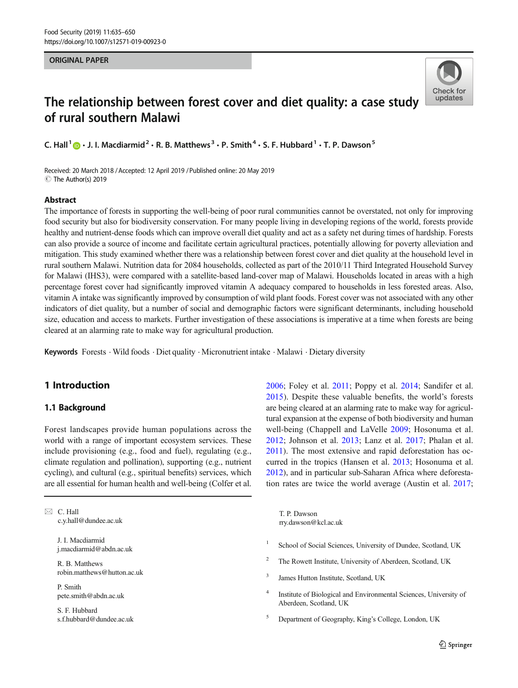#### ORIGINAL PAPER



# The relationship between forest cover and diet quality: a case study of rural southern Malawi

C. Hall  $\bigcirc$  · J. I. Macdiarmid  $2 \cdot R$ . B. Matthews  $3 \cdot P$ . Smith  $4 \cdot S$ . F. Hubbard  $1 \cdot T$ . P. Dawson  $5$ 

Received: 20 March 2018 /Accepted: 12 April 2019 /Published online: 20 May 2019  $\circledcirc$  The Author(s) 2019

### Abstract

The importance of forests in supporting the well-being of poor rural communities cannot be overstated, not only for improving food security but also for biodiversity conservation. For many people living in developing regions of the world, forests provide healthy and nutrient-dense foods which can improve overall diet quality and act as a safety net during times of hardship. Forests can also provide a source of income and facilitate certain agricultural practices, potentially allowing for poverty alleviation and mitigation. This study examined whether there was a relationship between forest cover and diet quality at the household level in rural southern Malawi. Nutrition data for 2084 households, collected as part of the 2010/11 Third Integrated Household Survey for Malawi (IHS3), were compared with a satellite-based land-cover map of Malawi. Households located in areas with a high percentage forest cover had significantly improved vitamin A adequacy compared to households in less forested areas. Also, vitamin A intake was significantly improved by consumption of wild plant foods. Forest cover was not associated with any other indicators of diet quality, but a number of social and demographic factors were significant determinants, including household size, education and access to markets. Further investigation of these associations is imperative at a time when forests are being cleared at an alarming rate to make way for agricultural production.

Keywords Forests . Wild foods . Diet quality . Micronutrient intake . Malawi . Dietary diversity

# 1 Introduction

# 1.1 Background

Forest landscapes provide human populations across the world with a range of important ecosystem services. These include provisioning (e.g., food and fuel), regulating (e.g., climate regulation and pollination), supporting (e.g., nutrient cycling), and cultural (e.g., spiritual benefits) services, which are all essential for human health and well-being (Colfer et al.

 $\boxtimes$  C. Hall [c.y.hall@dundee.ac.uk](mailto:c.y.hall@dundee.ac.uk)

> J. I. Macdiarmid j.macdiarmid@abdn.ac.uk

R. B. Matthews robin.matthews@hutton.ac.uk

P. Smith pete.smith@abdn.ac.uk

S. F. Hubbard s.f.hubbard@dundee.ac.uk [2006;](#page-12-0) Foley et al. [2011;](#page-12-0) Poppy et al. [2014;](#page-13-0) Sandifer et al. [2015](#page-13-0)). Despite these valuable benefits, the world's forests are being cleared at an alarming rate to make way for agricultural expansion at the expense of both biodiversity and human well-being (Chappell and LaVelle [2009;](#page-12-0) Hosonuma et al. [2012](#page-12-0); Johnson et al. [2013;](#page-13-0) Lanz et al. [2017;](#page-13-0) Phalan et al. [2011\)](#page-13-0). The most extensive and rapid deforestation has occurred in the tropics (Hansen et al. [2013](#page-12-0); Hosonuma et al. [2012\)](#page-12-0), and in particular sub-Saharan Africa where deforestation rates are twice the world average (Austin et al. [2017;](#page-12-0)

T. P. Dawson rry.dawson@kcl.ac.uk

- <sup>1</sup> School of Social Sciences, University of Dundee, Scotland, UK
- <sup>2</sup> The Rowett Institute, University of Aberdeen, Scotland, UK
- <sup>3</sup> James Hutton Institute, Scotland, UK
- <sup>4</sup> Institute of Biological and Environmental Sciences, University of Aberdeen, Scotland, UK
- <sup>5</sup> Department of Geography, King's College, London, UK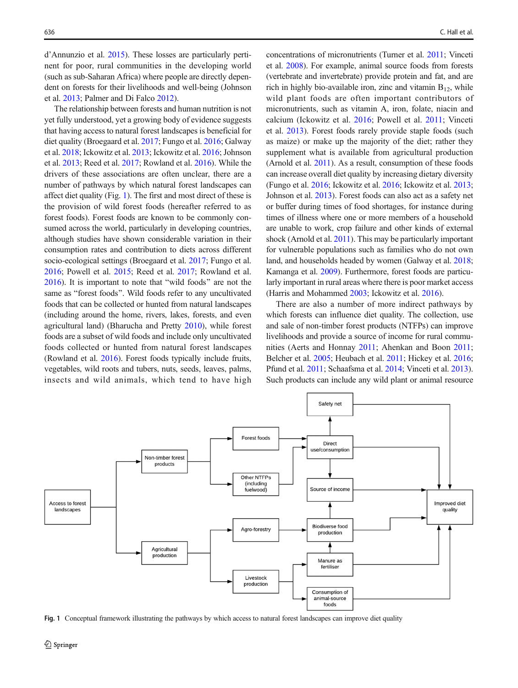d'Annunzio et al. [2015\)](#page-12-0). These losses are particularly pertinent for poor, rural communities in the developing world (such as sub-Saharan Africa) where people are directly dependent on forests for their livelihoods and well-being (Johnson et al. [2013](#page-13-0); Palmer and Di Falco [2012](#page-13-0)).

The relationship between forests and human nutrition is not yet fully understood, yet a growing body of evidence suggests that having access to natural forest landscapes is beneficial for diet quality (Broegaard et al. [2017](#page-12-0); Fungo et al. [2016](#page-12-0); Galway et al. [2018](#page-12-0); Ickowitz et al. [2013;](#page-13-0) Ickowitz et al. [2016](#page-13-0); Johnson et al. [2013;](#page-13-0) Reed et al. [2017;](#page-13-0) Rowland et al. [2016](#page-13-0)). While the drivers of these associations are often unclear, there are a number of pathways by which natural forest landscapes can affect diet quality (Fig. 1). The first and most direct of these is the provision of wild forest foods (hereafter referred to as forest foods). Forest foods are known to be commonly consumed across the world, particularly in developing countries, although studies have shown considerable variation in their consumption rates and contribution to diets across different socio-ecological settings (Broegaard et al. [2017;](#page-12-0) Fungo et al. [2016;](#page-12-0) Powell et al. [2015;](#page-13-0) Reed et al. [2017;](#page-13-0) Rowland et al.  $2016$ ). It is important to note that "wild foods" are not the same as "forest foods". Wild foods refer to any uncultivated foods that can be collected or hunted from natural landscapes (including around the home, rivers, lakes, forests, and even agricultural land) (Bharucha and Pretty [2010](#page-12-0)), while forest foods are a subset of wild foods and include only uncultivated foods collected or hunted from natural forest landscapes (Rowland et al. [2016\)](#page-13-0). Forest foods typically include fruits, vegetables, wild roots and tubers, nuts, seeds, leaves, palms, insects and wild animals, which tend to have high concentrations of micronutrients (Turner et al. [2011](#page-14-0); Vinceti et al. [2008\)](#page-14-0). For example, animal source foods from forests (vertebrate and invertebrate) provide protein and fat, and are rich in highly bio-available iron, zinc and vitamin  $B_{12}$ , while wild plant foods are often important contributors of micronutrients, such as vitamin A, iron, folate, niacin and calcium (Ickowitz et al. [2016](#page-13-0); Powell et al. [2011](#page-13-0); Vinceti et al. [2013](#page-14-0)). Forest foods rarely provide staple foods (such as maize) or make up the majority of the diet; rather they supplement what is available from agricultural production (Arnold et al. [2011\)](#page-12-0). As a result, consumption of these foods can increase overall diet quality by increasing dietary diversity (Fungo et al. [2016](#page-12-0); Ickowitz et al. [2016](#page-13-0); Ickowitz et al. [2013;](#page-13-0) Johnson et al. [2013\)](#page-13-0). Forest foods can also act as a safety net or buffer during times of food shortages, for instance during times of illness where one or more members of a household are unable to work, crop failure and other kinds of external shock (Arnold et al. [2011](#page-12-0)). This may be particularly important for vulnerable populations such as families who do not own land, and households headed by women (Galway et al. [2018;](#page-12-0) Kamanga et al. [2009](#page-13-0)). Furthermore, forest foods are particularly important in rural areas where there is poor market access (Harris and Mohammed [2003](#page-12-0); Ickowitz et al. [2016\)](#page-13-0).

There are also a number of more indirect pathways by which forests can influence diet quality. The collection, use and sale of non-timber forest products (NTFPs) can improve livelihoods and provide a source of income for rural communities (Aerts and Honnay [2011](#page-11-0); Ahenkan and Boon [2011;](#page-11-0) Belcher et al. [2005](#page-12-0); Heubach et al. [2011](#page-12-0); Hickey et al. [2016;](#page-12-0) Pfund et al. [2011](#page-13-0); Schaafsma et al. [2014;](#page-13-0) Vinceti et al. [2013\)](#page-14-0). Such products can include any wild plant or animal resource



Fig. 1 Conceptual framework illustrating the pathways by which access to natural forest landscapes can improve diet quality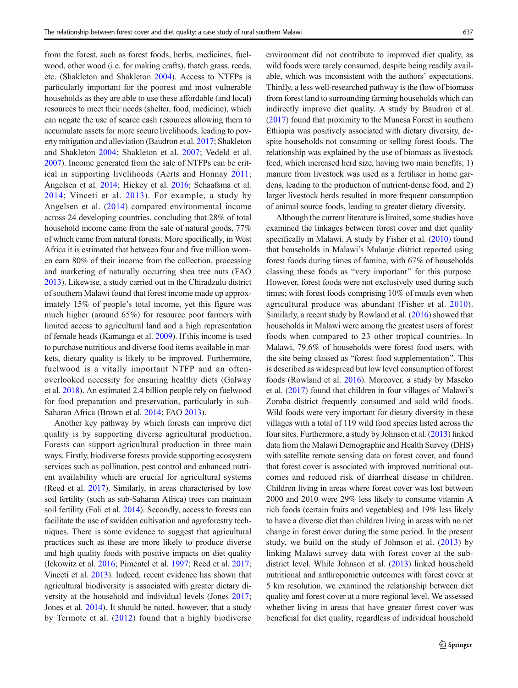from the forest, such as forest foods, herbs, medicines, fuelwood, other wood (i.e. for making crafts), thatch grass, reeds, etc. (Shakleton and Shakleton [2004\)](#page-13-0). Access to NTFPs is particularly important for the poorest and most vulnerable households as they are able to use these affordable (and local) resources to meet their needs (shelter, food, medicine), which can negate the use of scarce cash resources allowing them to accumulate assets for more secure livelihoods, leading to poverty mitigation and alleviation (Baudron et al. [2017;](#page-12-0) Shakleton and Shakleton [2004;](#page-13-0) Shakleton et al. [2007;](#page-14-0) Vedeld et al. [2007\)](#page-14-0). Income generated from the sale of NTFPs can be critical in supporting livelihoods (Aerts and Honnay [2011](#page-11-0); Angelsen et al. [2014](#page-11-0); Hickey et al. [2016;](#page-12-0) Schaafsma et al. [2014;](#page-13-0) Vinceti et al. [2013](#page-14-0)). For example, a study by Angelsen et al. ([2014\)](#page-11-0) compared environmental income across 24 developing countries, concluding that 28% of total household income came from the sale of natural goods, 77% of which came from natural forests. More specifically, in West Africa it is estimated that between four and five million women earn 80% of their income from the collection, processing and marketing of naturally occurring shea tree nuts (FAO [2013\)](#page-12-0). Likewise, a study carried out in the Chiradzulu district of southern Malawi found that forest income made up approximately 15% of people's total income, yet this figure was much higher (around 65%) for resource poor farmers with limited access to agricultural land and a high representation of female heads (Kamanga et al. [2009](#page-13-0)). If this income is used to purchase nutritious and diverse food items available in markets, dietary quality is likely to be improved. Furthermore, fuelwood is a vitally important NTFP and an oftenoverlooked necessity for ensuring healthy diets (Galway et al. [2018](#page-12-0)). An estimated 2.4 billion people rely on fuelwood for food preparation and preservation, particularly in sub-Saharan Africa (Brown et al. [2014](#page-12-0); FAO [2013\)](#page-12-0).

Another key pathway by which forests can improve diet quality is by supporting diverse agricultural production. Forests can support agricultural production in three main ways. Firstly, biodiverse forests provide supporting ecosystem services such as pollination, pest control and enhanced nutrient availability which are crucial for agricultural systems (Reed et al. [2017](#page-13-0)). Similarly, in areas characterised by low soil fertility (such as sub-Saharan Africa) trees can maintain soil fertility (Foli et al. [2014](#page-12-0)). Secondly, access to forests can facilitate the use of swidden cultivation and agroforestry techniques. There is some evidence to suggest that agricultural practices such as these are more likely to produce diverse and high quality foods with positive impacts on diet quality (Ickowitz et al. [2016](#page-13-0); Pimentel et al. [1997;](#page-13-0) Reed et al. [2017](#page-13-0); Vinceti et al. [2013](#page-14-0)). Indeed, recent evidence has shown that agricultural biodiversity is associated with greater dietary diversity at the household and individual levels (Jones [2017](#page-13-0); Jones et al. [2014\)](#page-13-0). It should be noted, however, that a study by Termote et al. ([2012\)](#page-14-0) found that a highly biodiverse environment did not contribute to improved diet quality, as wild foods were rarely consumed, despite being readily available, which was inconsistent with the authors' expectations. Thirdly, a less well-researched pathway is the flow of biomass from forest land to surrounding farming households which can indirectly improve diet quality. A study by Baudron et al. [\(2017\)](#page-12-0) found that proximity to the Munesa Forest in southern Ethiopia was positively associated with dietary diversity, despite households not consuming or selling forest foods. The relationship was explained by the use of biomass as livestock feed, which increased herd size, having two main benefits; 1) manure from livestock was used as a fertiliser in home gardens, leading to the production of nutrient-dense food, and 2) larger livestock herds resulted in more frequent consumption of animal source foods, leading to greater dietary diversity.

Although the current literature is limited, some studies have examined the linkages between forest cover and diet quality specifically in Malawi. A study by Fisher et al. [\(2010\)](#page-12-0) found that households in Malawi's Mulanje district reported using forest foods during times of famine, with 67% of households classing these foods as "very important" for this purpose. However, forest foods were not exclusively used during such times; with forest foods comprising 10% of meals even when agricultural produce was abundant (Fisher et al. [2010](#page-12-0)). Similarly, a recent study by Rowland et al. [\(2016\)](#page-13-0) showed that households in Malawi were among the greatest users of forest foods when compared to 23 other tropical countries. In Malawi, 79.6% of households were forest food users, with the site being classed as "forest food supplementation". This is described as widespread but low level consumption of forest foods (Rowland et al. [2016](#page-13-0)). Moreover, a study by Maseko et al. [\(2017\)](#page-13-0) found that children in four villages of Malawi's Zomba district frequently consumed and sold wild foods. Wild foods were very important for dietary diversity in these villages with a total of 119 wild food species listed across the four sites. Furthermore, a study by Johnson et al. [\(2013\)](#page-13-0) linked data from the Malawi Demographic and Health Survey (DHS) with satellite remote sensing data on forest cover, and found that forest cover is associated with improved nutritional outcomes and reduced risk of diarrheal disease in children. Children living in areas where forest cover was lost between 2000 and 2010 were 29% less likely to consume vitamin A rich foods (certain fruits and vegetables) and 19% less likely to have a diverse diet than children living in areas with no net change in forest cover during the same period. In the present study, we build on the study of Johnson et al.  $(2013)$  $(2013)$  $(2013)$  by linking Malawi survey data with forest cover at the subdistrict level. While Johnson et al. [\(2013\)](#page-13-0) linked household nutritional and anthropometric outcomes with forest cover at 5 km resolution, we examined the relationship between diet quality and forest cover at a more regional level. We assessed whether living in areas that have greater forest cover was beneficial for diet quality, regardless of individual household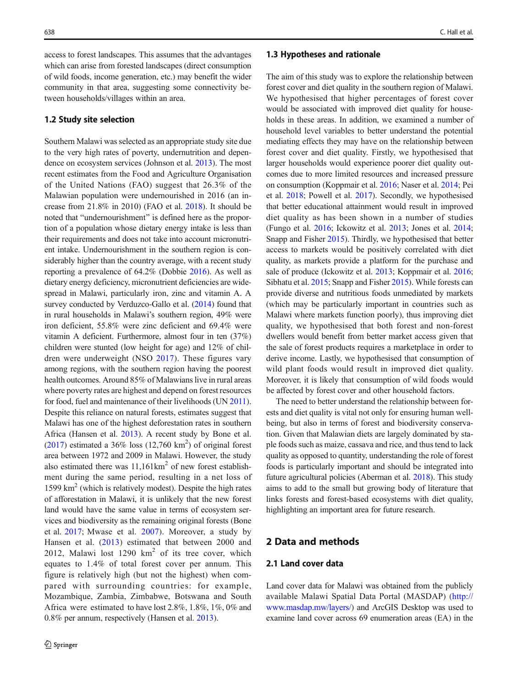access to forest landscapes. This assumes that the advantages which can arise from forested landscapes (direct consumption of wild foods, income generation, etc.) may benefit the wider community in that area, suggesting some connectivity between households/villages within an area.

## 1.2 Study site selection

Southern Malawi was selected as an appropriate study site due to the very high rates of poverty, undernutrition and dependence on ecosystem services (Johnson et al. [2013](#page-13-0)). The most recent estimates from the Food and Agriculture Organisation of the United Nations (FAO) suggest that 26.3% of the Malawian population were undernourished in 2016 (an increase from 21.8% in 2010) (FAO et al. [2018\)](#page-12-0). It should be noted that "undernourishment" is defined here as the proportion of a population whose dietary energy intake is less than their requirements and does not take into account micronutrient intake. Undernourishment in the southern region is considerably higher than the country average, with a recent study reporting a prevalence of 64.2% (Dobbie [2016\)](#page-12-0). As well as dietary energy deficiency, micronutrient deficiencies are widespread in Malawi, particularly iron, zinc and vitamin A. A survey conducted by Verduzco-Gallo et al. ([2014](#page-14-0)) found that in rural households in Malawi's southern region, 49% were iron deficient, 55.8% were zinc deficient and 69.4% were vitamin A deficient. Furthermore, almost four in ten (37%) children were stunted (low height for age) and 12% of children were underweight (NSO [2017](#page-13-0)). These figures vary among regions, with the southern region having the poorest health outcomes. Around 85% of Malawians live in rural areas where poverty rates are highest and depend on forest resources for food, fuel and maintenance of their livelihoods (UN [2011\)](#page-14-0). Despite this reliance on natural forests, estimates suggest that Malawi has one of the highest deforestation rates in southern Africa (Hansen et al. [2013\)](#page-12-0). A recent study by Bone et al.  $(2017)$  estimated a 36% loss  $(12,760 \text{ km}^2)$  of original forest area between 1972 and 2009 in Malawi. However, the study also estimated there was  $11,161 \text{km}^2$  of new forest establishment during the same period, resulting in a net loss of  $1599 \text{ km}^2$  (which is relatively modest). Despite the high rates of afforestation in Malawi, it is unlikely that the new forest land would have the same value in terms of ecosystem services and biodiversity as the remaining original forests (Bone et al. [2017;](#page-12-0) Mwase et al. [2007\)](#page-13-0). Moreover, a study by Hansen et al. [\(2013\)](#page-12-0) estimated that between 2000 and 2012, Malawi lost  $1290 \text{ km}^2$  of its tree cover, which equates to 1.4% of total forest cover per annum. This figure is relatively high (but not the highest) when compared with surrounding countries: for example, Mozambique, Zambia, Zimbabwe, Botswana and South Africa were estimated to have lost 2.8%, 1.8%, 1%, 0% and 0.8% per annum, respectively (Hansen et al. [2013\)](#page-12-0).

#### 1.3 Hypotheses and rationale

The aim of this study was to explore the relationship between forest cover and diet quality in the southern region of Malawi. We hypothesised that higher percentages of forest cover would be associated with improved diet quality for households in these areas. In addition, we examined a number of household level variables to better understand the potential mediating effects they may have on the relationship between forest cover and diet quality. Firstly, we hypothesised that larger households would experience poorer diet quality outcomes due to more limited resources and increased pressure on consumption (Koppmair et al. [2016](#page-13-0); Naser et al. [2014;](#page-13-0) Pei et al. [2018;](#page-13-0) Powell et al. [2017](#page-13-0)). Secondly, we hypothesised that better educational attainment would result in improved diet quality as has been shown in a number of studies (Fungo et al. [2016;](#page-12-0) Ickowitz et al. [2013](#page-13-0); Jones et al. [2014;](#page-13-0) Snapp and Fisher [2015](#page-14-0)). Thirdly, we hypothesised that better access to markets would be positively correlated with diet quality, as markets provide a platform for the purchase and sale of produce (Ickowitz et al. [2013](#page-13-0); Koppmair et al. [2016;](#page-13-0) Sibhatu et al. [2015](#page-14-0); Snapp and Fisher [2015](#page-14-0)). While forests can provide diverse and nutritious foods unmediated by markets (which may be particularly important in countries such as Malawi where markets function poorly), thus improving diet quality, we hypothesised that both forest and non-forest dwellers would benefit from better market access given that the sale of forest products requires a marketplace in order to derive income. Lastly, we hypothesised that consumption of wild plant foods would result in improved diet quality. Moreover, it is likely that consumption of wild foods would be affected by forest cover and other household factors.

The need to better understand the relationship between forests and diet quality is vital not only for ensuring human wellbeing, but also in terms of forest and biodiversity conservation. Given that Malawian diets are largely dominated by staple foods such as maize, cassava and rice, and thus tend to lack quality as opposed to quantity, understanding the role of forest foods is particularly important and should be integrated into future agricultural policies (Aberman et al. [2018\)](#page-11-0). This study aims to add to the small but growing body of literature that links forests and forest-based ecosystems with diet quality, highlighting an important area for future research.

# 2 Data and methods

# 2.1 Land cover data

Land cover data for Malawi was obtained from the publicly available Malawi Spatial Data Portal (MASDAP) ([http://](http://www.masdap.mw/layers/) [www.masdap.mw/layers/\)](http://www.masdap.mw/layers/) and ArcGIS Desktop was used to examine land cover across 69 enumeration areas (EA) in the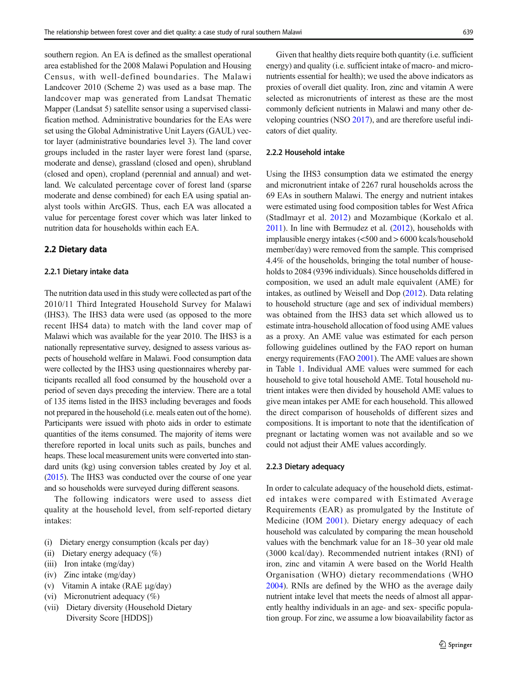southern region. An EA is defined as the smallest operational area established for the 2008 Malawi Population and Housing Census, with well-defined boundaries. The Malawi Landcover 2010 (Scheme 2) was used as a base map. The landcover map was generated from Landsat Thematic Mapper (Landsat 5) satellite sensor using a supervised classification method. Administrative boundaries for the EAs were set using the Global Administrative Unit Layers (GAUL) vector layer (administrative boundaries level 3). The land cover groups included in the raster layer were forest land (sparse, moderate and dense), grassland (closed and open), shrubland (closed and open), cropland (perennial and annual) and wetland. We calculated percentage cover of forest land (sparse moderate and dense combined) for each EA using spatial analyst tools within ArcGIS. Thus, each EA was allocated a value for percentage forest cover which was later linked to nutrition data for households within each EA.

#### 2.2 Dietary data

#### 2.2.1 Dietary intake data

The nutrition data used in this study were collected as part of the 2010/11 Third Integrated Household Survey for Malawi (IHS3). The IHS3 data were used (as opposed to the more recent IHS4 data) to match with the land cover map of Malawi which was available for the year 2010. The IHS3 is a nationally representative survey, designed to assess various aspects of household welfare in Malawi. Food consumption data were collected by the IHS3 using questionnaires whereby participants recalled all food consumed by the household over a period of seven days preceding the interview. There are a total of 135 items listed in the IHS3 including beverages and foods not prepared in the household (i.e. meals eaten out of the home). Participants were issued with photo aids in order to estimate quantities of the items consumed. The majority of items were therefore reported in local units such as pails, bunches and heaps. These local measurement units were converted into standard units (kg) using conversion tables created by Joy et al. [\(2015](#page-13-0)). The IHS3 was conducted over the course of one year and so households were surveyed during different seasons.

The following indicators were used to assess diet quality at the household level, from self-reported dietary intakes:

- (i) Dietary energy consumption (kcals per day)
- (ii) Dietary energy adequacy (%)
- (iii) Iron intake (mg/day)
- (iv) Zinc intake (mg/day)
- (v) Vitamin A intake (RAE μg/day)
- (vi) Micronutrient adequacy (%)
- (vii) Dietary diversity (Household Dietary Diversity Score [HDDS])

Given that healthy diets require both quantity (i.e. sufficient energy) and quality (i.e. sufficient intake of macro- and micronutrients essential for health); we used the above indicators as proxies of overall diet quality. Iron, zinc and vitamin A were selected as micronutrients of interest as these are the most commonly deficient nutrients in Malawi and many other developing countries (NSO [2017\)](#page-13-0), and are therefore useful indicators of diet quality.

## 2.2.2 Household intake

Using the IHS3 consumption data we estimated the energy and micronutrient intake of 2267 rural households across the 69 EAs in southern Malawi. The energy and nutrient intakes were estimated using food composition tables for West Africa (Stadlmayr et al. [2012](#page-14-0)) and Mozambique (Korkalo et al. [2011](#page-13-0)). In line with Bermudez et al. ([2012](#page-12-0)), households with implausible energy intakes (<500 and > 6000 kcals/household member/day) were removed from the sample. This comprised 4.4% of the households, bringing the total number of households to 2084 (9396 individuals). Since households differed in composition, we used an adult male equivalent (AME) for intakes, as outlined by Weisell and Dop [\(2012\)](#page-14-0). Data relating to household structure (age and sex of individual members) was obtained from the IHS3 data set which allowed us to estimate intra-household allocation of food using AME values as a proxy. An AME value was estimated for each person following guidelines outlined by the FAO report on human energy requirements (FAO [2001](#page-12-0)). The AME values are shown in Table [1.](#page-5-0) Individual AME values were summed for each household to give total household AME. Total household nutrient intakes were then divided by household AME values to give mean intakes per AME for each household. This allowed the direct comparison of households of different sizes and compositions. It is important to note that the identification of pregnant or lactating women was not available and so we could not adjust their AME values accordingly.

#### 2.2.3 Dietary adequacy

In order to calculate adequacy of the household diets, estimated intakes were compared with Estimated Average Requirements (EAR) as promulgated by the Institute of Medicine (IOM [2001\)](#page-13-0). Dietary energy adequacy of each household was calculated by comparing the mean household values with the benchmark value for an 18–30 year old male (3000 kcal/day). Recommended nutrient intakes (RNI) of iron, zinc and vitamin A were based on the World Health Organisation (WHO) dietary recommendations (WHO [2004\)](#page-14-0). RNIs are defined by the WHO as the average daily nutrient intake level that meets the needs of almost all apparently healthy individuals in an age- and sex- specific population group. For zinc, we assume a low bioavailability factor as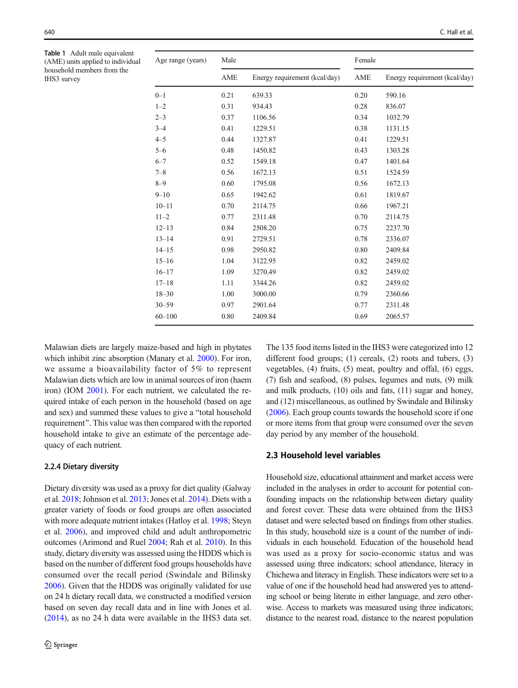<span id="page-5-0"></span>Table 1 Adult male equivalent (AME) units applied to individual household members from the IHS3 survey

| Age range (years) | Male |                               | Female |                               |  |
|-------------------|------|-------------------------------|--------|-------------------------------|--|
|                   | AME  | Energy requirement (kcal/day) | AME    | Energy requirement (kcal/day) |  |
| $0 - 1$           | 0.21 | 639.33                        | 0.20   | 590.16                        |  |
| $1 - 2$           | 0.31 | 934.43                        | 0.28   | 836.07                        |  |
| $2 - 3$           | 0.37 | 1106.56                       | 0.34   | 1032.79                       |  |
| $3 - 4$           | 0.41 | 1229.51                       | 0.38   | 1131.15                       |  |
| $4 - 5$           | 0.44 | 1327.87                       | 0.41   | 1229.51                       |  |
| $5 - 6$           | 0.48 | 1450.82                       | 0.43   | 1303.28                       |  |
| $6 - 7$           | 0.52 | 1549.18                       | 0.47   | 1401.64                       |  |
| $7 - 8$           | 0.56 | 1672.13                       | 0.51   | 1524.59                       |  |
| $8 - 9$           | 0.60 | 1795.08                       | 0.56   | 1672.13                       |  |
| $9 - 10$          | 0.65 | 1942.62                       | 0.61   | 1819.67                       |  |
| $10 - 11$         | 0.70 | 2114.75                       | 0.66   | 1967.21                       |  |
| $11 - 2$          | 0.77 | 2311.48                       | 0.70   | 2114.75                       |  |
| $12 - 13$         | 0.84 | 2508.20                       | 0.75   | 2237.70                       |  |
| $13 - 14$         | 0.91 | 2729.51                       | 0.78   | 2336.07                       |  |
| $14 - 15$         | 0.98 | 2950.82                       | 0.80   | 2409.84                       |  |
| $15 - 16$         | 1.04 | 3122.95                       | 0.82   | 2459.02                       |  |
| $16 - 17$         | 1.09 | 3270.49                       | 0.82   | 2459.02                       |  |
| $17 - 18$         | 1.11 | 3344.26                       | 0.82   | 2459.02                       |  |
| $18 - 30$         | 1.00 | 3000.00                       | 0.79   | 2360.66                       |  |
| $30 - 59$         | 0.97 | 2901.64                       | 0.77   | 2311.48                       |  |
| $60 - 100$        | 0.80 | 2409.84                       | 0.69   | 2065.57                       |  |

Malawian diets are largely maize-based and high in phytates which inhibit zinc absorption (Manary et al. [2000](#page-13-0)). For iron, we assume a bioavailability factor of 5% to represent Malawian diets which are low in animal sources of iron (haem iron) (IOM [2001](#page-13-0)). For each nutrient, we calculated the required intake of each person in the household (based on age and sex) and summed these values to give a "total household requirement^. This value was then compared with the reported household intake to give an estimate of the percentage adequacy of each nutrient.

#### 2.2.4 Dietary diversity

Dietary diversity was used as a proxy for diet quality (Galway et al. [2018;](#page-12-0) Johnson et al. [2013](#page-13-0); Jones et al. [2014](#page-13-0)). Diets with a greater variety of foods or food groups are often associated with more adequate nutrient intakes (Hatloy et al. [1998](#page-12-0); Steyn et al. [2006](#page-14-0)), and improved child and adult anthropometric outcomes (Arimond and Ruel [2004](#page-12-0); Rah et al. [2010\)](#page-13-0). In this study, dietary diversity was assessed using the HDDS which is based on the number of different food groups households have consumed over the recall period (Swindale and Bilinsky [2006\)](#page-14-0). Given that the HDDS was originally validated for use on 24 h dietary recall data, we constructed a modified version based on seven day recall data and in line with Jones et al. [\(2014\)](#page-13-0), as no 24 h data were available in the IHS3 data set. The 135 food items listed in the IHS3 were categorized into 12 different food groups; (1) cereals, (2) roots and tubers, (3) vegetables, (4) fruits, (5) meat, poultry and offal, (6) eggs, (7) fish and seafood, (8) pulses, legumes and nuts, (9) milk and milk products, (10) oils and fats, (11) sugar and honey, and (12) miscellaneous, as outlined by Swindale and Bilinsky [\(2006\)](#page-14-0). Each group counts towards the household score if one or more items from that group were consumed over the seven day period by any member of the household.

# 2.3 Household level variables

Household size, educational attainment and market access were included in the analyses in order to account for potential confounding impacts on the relationship between dietary quality and forest cover. These data were obtained from the IHS3 dataset and were selected based on findings from other studies. In this study, household size is a count of the number of individuals in each household. Education of the household head was used as a proxy for socio-economic status and was assessed using three indicators; school attendance, literacy in Chichewa and literacy in English. These indicators were set to a value of one if the household head had answered yes to attending school or being literate in either language, and zero otherwise. Access to markets was measured using three indicators; distance to the nearest road, distance to the nearest population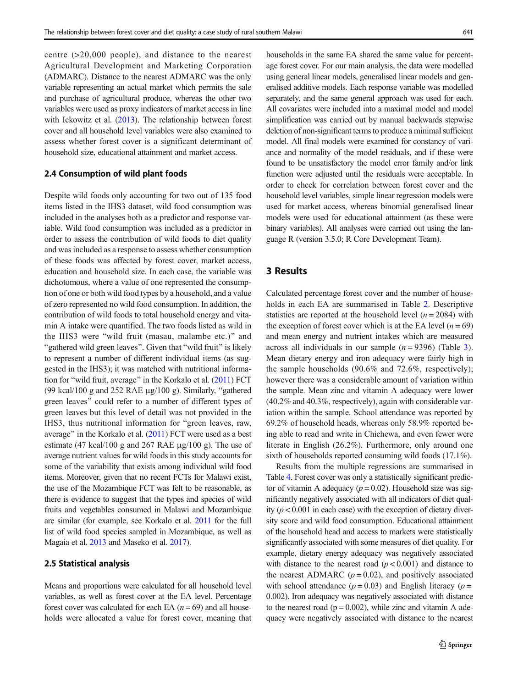centre (>20,000 people), and distance to the nearest Agricultural Development and Marketing Corporation (ADMARC). Distance to the nearest ADMARC was the only variable representing an actual market which permits the sale and purchase of agricultural produce, whereas the other two variables were used as proxy indicators of market access in line with Ickowitz et al. ([2013](#page-13-0)). The relationship between forest cover and all household level variables were also examined to assess whether forest cover is a significant determinant of household size, educational attainment and market access.

## 2.4 Consumption of wild plant foods

Despite wild foods only accounting for two out of 135 food items listed in the IHS3 dataset, wild food consumption was included in the analyses both as a predictor and response variable. Wild food consumption was included as a predictor in order to assess the contribution of wild foods to diet quality and was included as a response to assess whether consumption of these foods was affected by forest cover, market access, education and household size. In each case, the variable was dichotomous, where a value of one represented the consumption of one or both wild food types by a household, and a value of zero represented no wild food consumption. In addition, the contribution of wild foods to total household energy and vitamin A intake were quantified. The two foods listed as wild in the IHS3 were "wild fruit (masau, malambe etc.)" and "gathered wild green leaves". Given that "wild fruit" is likely to represent a number of different individual items (as suggested in the IHS3); it was matched with nutritional informa-tion for "wild fruit, average" in the Korkalo et al. [\(2011\)](#page-13-0) FCT (99 kcal/100 g and 252 RAE  $\mu$ g/100 g). Similarly, "gathered green leaves" could refer to a number of different types of green leaves but this level of detail was not provided in the IHS3, thus nutritional information for "green leaves, raw, average" in the Korkalo et al.  $(2011)$  $(2011)$  FCT were used as a best estimate (47 kcal/100 g and 267 RAE μg/100 g). The use of average nutrient values for wild foods in this study accounts for some of the variability that exists among individual wild food items. Moreover, given that no recent FCTs for Malawi exist, the use of the Mozambique FCT was felt to be reasonable, as there is evidence to suggest that the types and species of wild fruits and vegetables consumed in Malawi and Mozambique are similar (for example, see Korkalo et al. [2011](#page-13-0) for the full list of wild food species sampled in Mozambique, as well as Magaia et al. [2013](#page-13-0) and Maseko et al. [2017\)](#page-13-0).

## 2.5 Statistical analysis

Means and proportions were calculated for all household level variables, as well as forest cover at the EA level. Percentage forest cover was calculated for each EA  $(n = 69)$  and all households were allocated a value for forest cover, meaning that households in the same EA shared the same value for percentage forest cover. For our main analysis, the data were modelled using general linear models, generalised linear models and generalised additive models. Each response variable was modelled separately, and the same general approach was used for each. All covariates were included into a maximal model and model simplification was carried out by manual backwards stepwise deletion of non-significant terms to produce a minimal sufficient model. All final models were examined for constancy of variance and normality of the model residuals, and if these were found to be unsatisfactory the model error family and/or link function were adjusted until the residuals were acceptable. In order to check for correlation between forest cover and the household level variables, simple linear regression models were used for market access, whereas binomial generalised linear models were used for educational attainment (as these were binary variables). All analyses were carried out using the language R (version 3.5.0; R Core Development Team).

# 3 Results

Calculated percentage forest cover and the number of households in each EA are summarised in Table [2](#page-7-0). Descriptive statistics are reported at the household level  $(n = 2084)$  with the exception of forest cover which is at the EA level  $(n = 69)$ and mean energy and nutrient intakes which are measured across all individuals in our sample  $(n = 9396)$  $(n = 9396)$  $(n = 9396)$  (Table 3). Mean dietary energy and iron adequacy were fairly high in the sample households (90.6% and 72.6%, respectively); however there was a considerable amount of variation within the sample. Mean zinc and vitamin A adequacy were lower (40.2% and 40.3%, respectively), again with considerable variation within the sample. School attendance was reported by 69.2% of household heads, whereas only 58.9% reported being able to read and write in Chichewa, and even fewer were literate in English (26.2%). Furthermore, only around one sixth of households reported consuming wild foods (17.1%).

Results from the multiple regressions are summarised in Table [4](#page-10-0). Forest cover was only a statistically significant predictor of vitamin A adequacy  $(p = 0.02)$ . Household size was significantly negatively associated with all indicators of diet quality ( $p < 0.001$  in each case) with the exception of dietary diversity score and wild food consumption. Educational attainment of the household head and access to markets were statistically significantly associated with some measures of diet quality. For example, dietary energy adequacy was negatively associated with distance to the nearest road  $(p < 0.001)$  and distance to the nearest ADMARC ( $p = 0.02$ ), and positively associated with school attendance  $(p = 0.03)$  and English literacy  $(p = 1.03)$ 0.002). Iron adequacy was negatively associated with distance to the nearest road ( $p = 0.002$ ), while zinc and vitamin A adequacy were negatively associated with distance to the nearest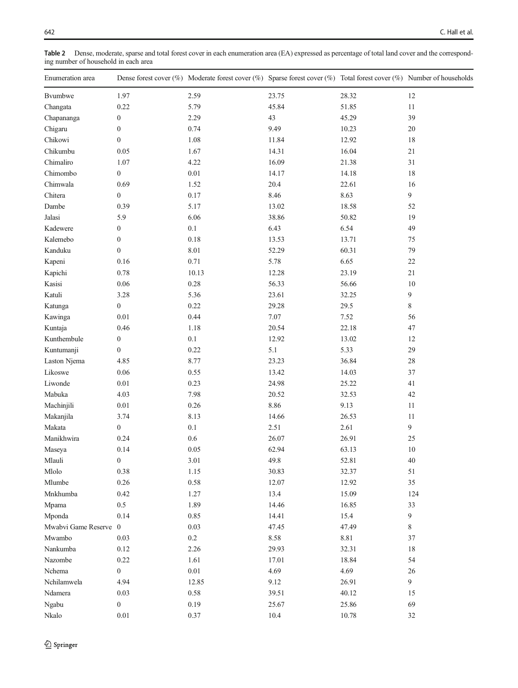<span id="page-7-0"></span>Table 2 Dense, moderate, sparse and total forest cover in each enumeration area (EA) expressed as percentage of total land cover and the corresponding number of household in each area

| Enumeration area    |                          | Dense forest cover (%) Moderate forest cover (%) Sparse forest cover (%) Total forest cover (%) Number of households |                |                |                      |
|---------------------|--------------------------|----------------------------------------------------------------------------------------------------------------------|----------------|----------------|----------------------|
| <b>B</b> vumbwe     | 1.97                     | 2.59                                                                                                                 | 23.75          | 28.32          | 12                   |
| Changata            | 0.22                     | 5.79                                                                                                                 | 45.84          | 51.85          | 11                   |
| Chapananga          | $\boldsymbol{0}$         | 2.29                                                                                                                 | 43             | 45.29          | 39                   |
| Chigaru             | $\boldsymbol{0}$         | 0.74                                                                                                                 | 9.49           | 10.23          | $20\,$               |
| Chikowi             | $\boldsymbol{0}$         | 1.08                                                                                                                 | 11.84          | 12.92          | $18\,$               |
| Chikumbu            | 0.05                     | 1.67                                                                                                                 | 14.31          | 16.04          | 21                   |
| Chimaliro           | 1.07                     | 4.22                                                                                                                 | 16.09          | 21.38          | 31                   |
| Chimombo            | $\boldsymbol{0}$         | $0.01\,$                                                                                                             | 14.17          | 14.18          | 18                   |
| Chimwala            | 0.69                     | 1.52                                                                                                                 | 20.4           | 22.61          | 16                   |
| Chitera             | $\overline{0}$           | $0.17\,$                                                                                                             | 8.46           | 8.63           | $\overline{9}$       |
| Dambe               | 0.39                     | 5.17                                                                                                                 | 13.02          | 18.58          | 52                   |
| Jalasi              | 5.9                      | 6.06                                                                                                                 | 38.86          | 50.82          | 19                   |
| Kadewere            | $\boldsymbol{0}$         | $0.1\,$                                                                                                              | 6.43           | 6.54           | 49                   |
| Kalemebo            | $\boldsymbol{0}$         | 0.18                                                                                                                 | 13.53          | 13.71          | 75                   |
| Kanduku             | $\boldsymbol{0}$         | 8.01                                                                                                                 | 52.29          | 60.31          | 79                   |
| Kapeni              | 0.16                     | 0.71                                                                                                                 | 5.78           | 6.65           | $22\,$               |
| Kapichi             | 0.78                     | 10.13                                                                                                                | 12.28          | 23.19          | 21                   |
| Kasisi              | $0.06\,$                 | 0.28                                                                                                                 | 56.33          | 56.66          | $10\,$               |
| Katuli              | 3.28                     | 5.36                                                                                                                 | 23.61          | 32.25          | 9                    |
| Katunga             | $\boldsymbol{0}$         | 0.22                                                                                                                 | 29.28          | 29.5           | $\,$ 8 $\,$          |
| Kawinga             | 0.01                     | 0.44                                                                                                                 | 7.07           | 7.52           | 56                   |
| Kuntaja             | 0.46                     | 1.18                                                                                                                 | 20.54          | 22.18          | 47                   |
| Kunthembule         | $\boldsymbol{0}$         | $0.1\,$                                                                                                              | 12.92          | 13.02          | $12\,$               |
| Kuntumanji          | $\overline{0}$           | 0.22                                                                                                                 | $5.1\,$        | 5.33           | 29                   |
| Laston Njema        | 4.85                     | 8.77                                                                                                                 | 23.23          | 36.84          | $28\,$               |
| Likoswe             | $0.06\,$                 | 0.55                                                                                                                 | 13.42          | 14.03          | 37                   |
| Liwonde             | $0.01\,$                 | 0.23                                                                                                                 | 24.98          | 25.22          | $41\,$               |
| Mabuka              | 4.03                     | 7.98                                                                                                                 | 20.52          | 32.53          | $42\,$               |
| Machinjili          | $0.01\,$                 | 0.26                                                                                                                 | 8.86           | 9.13           | 11                   |
| Makanjila           | 3.74                     | 8.13                                                                                                                 | 14.66          | 26.53          | 11                   |
| Makata              | $\boldsymbol{0}$         | 0.1                                                                                                                  | 2.51           | 2.61           | 9                    |
| Manikhwira          | 0.24                     | 0.6                                                                                                                  | 26.07          | 26.91          | 25                   |
| Maseya              | 0.14                     | 0.05                                                                                                                 | 62.94          | 63.13          | $10\,$               |
| Mlauli              | $\boldsymbol{0}$         | 3.01                                                                                                                 | 49.8           | 52.81          | 40                   |
| Mlolo               | 0.38                     | 1.15                                                                                                                 | 30.83          | 32.37          | $51\,$               |
| Mlumbe              | 0.26                     | 0.58                                                                                                                 | 12.07          | 12.92          | 35                   |
| Mnkhumba            | 0.42                     | 1.27                                                                                                                 | 13.4           | 15.09          | 124                  |
| Mpama               | 0.5                      | 1.89                                                                                                                 | 14.46          | 16.85          | 33                   |
| Mponda              | 0.14                     | 0.85                                                                                                                 | 14.41          | 15.4           | 9                    |
| Mwabvi Game Reserve | $\overline{0}$           | 0.03                                                                                                                 | 47.45          | 47.49          | 8                    |
| Mwambo              | 0.03                     | $0.2\,$                                                                                                              | 8.58           | 8.81           | 37                   |
| Nankumba            | 0.12                     | 2.26                                                                                                                 | 29.93          | 32.31          | 18                   |
| Nazombe             |                          | 1.61                                                                                                                 |                |                | 54                   |
| Nchema              | 0.22<br>$\boldsymbol{0}$ | $0.01\,$                                                                                                             | 17.01<br>4.69  | 18.84<br>4.69  |                      |
| Nchilamwela         | 4.94                     | 12.85                                                                                                                | 9.12           | 26.91          | 26<br>$\overline{9}$ |
|                     |                          | $0.58\,$                                                                                                             |                |                |                      |
| Ndamera             | 0.03<br>$\boldsymbol{0}$ | 0.19                                                                                                                 | 39.51<br>25.67 | 40.12          | 15<br>69             |
| Ngabu<br>Nkalo      | $0.01\,$                 | 0.37                                                                                                                 | 10.4           | 25.86<br>10.78 | 32                   |
|                     |                          |                                                                                                                      |                |                |                      |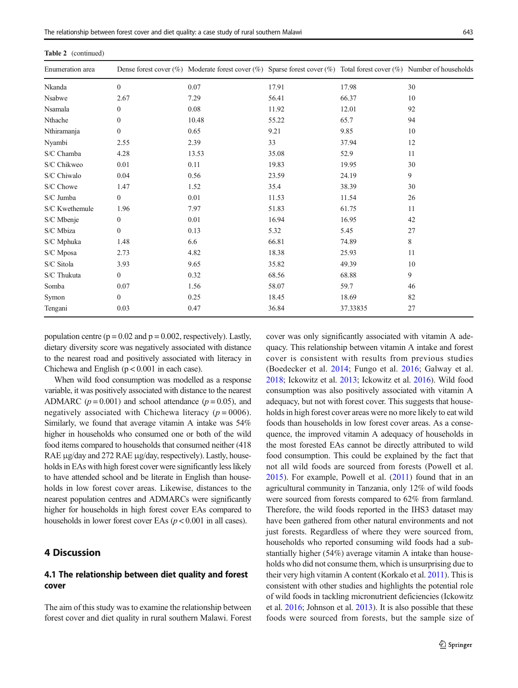| Enumeration area |                | Dense forest cover (%) Moderate forest cover (%) Sparse forest cover (%) Total forest cover (%) Number of households |       |          |    |
|------------------|----------------|----------------------------------------------------------------------------------------------------------------------|-------|----------|----|
| Nkanda           | $\overline{0}$ | 0.07                                                                                                                 | 17.91 | 17.98    | 30 |
| Nsabwe           | 2.67           | 7.29                                                                                                                 | 56.41 | 66.37    | 10 |
| Nsamala          | $\overline{0}$ | 0.08                                                                                                                 | 11.92 | 12.01    | 92 |
| Nthache          | $\mathbf{0}$   | 10.48                                                                                                                | 55.22 | 65.7     | 94 |
| Nthiramanja      | $\overline{0}$ | 0.65                                                                                                                 | 9.21  | 9.85     | 10 |
| Nyambi           | 2.55           | 2.39                                                                                                                 | 33    | 37.94    | 12 |
| S/C Chamba       | 4.28           | 13.53                                                                                                                | 35.08 | 52.9     | 11 |
| S/C Chikweo      | 0.01           | 0.11                                                                                                                 | 19.83 | 19.95    | 30 |
| S/C Chiwalo      | 0.04           | 0.56                                                                                                                 | 23.59 | 24.19    | 9  |
| S/C Chowe        | 1.47           | 1.52                                                                                                                 | 35.4  | 38.39    | 30 |
| S/C Jumba        | $\overline{0}$ | 0.01                                                                                                                 | 11.53 | 11.54    | 26 |
| S/C Kwethemule   | 1.96           | 7.97                                                                                                                 | 51.83 | 61.75    | 11 |
| S/C Mbenje       | $\overline{0}$ | 0.01                                                                                                                 | 16.94 | 16.95    | 42 |
| S/C Mbiza        | $\overline{0}$ | 0.13                                                                                                                 | 5.32  | 5.45     | 27 |
| S/C Mphuka       | 1.48           | 6.6                                                                                                                  | 66.81 | 74.89    | 8  |
| S/C Mposa        | 2.73           | 4.82                                                                                                                 | 18.38 | 25.93    | 11 |
| S/C Sitola       | 3.93           | 9.65                                                                                                                 | 35.82 | 49.39    | 10 |
| S/C Thukuta      | $\overline{0}$ | 0.32                                                                                                                 | 68.56 | 68.88    | 9  |
| Somba            | 0.07           | 1.56                                                                                                                 | 58.07 | 59.7     | 46 |
| Symon            | $\mathbf{0}$   | 0.25                                                                                                                 | 18.45 | 18.69    | 82 |
| Tengani          | 0.03           | 0.47                                                                                                                 | 36.84 | 37.33835 | 27 |

Table 2 (continued)

population centre ( $p = 0.02$  and  $p = 0.002$ , respectively). Lastly, dietary diversity score was negatively associated with distance to the nearest road and positively associated with literacy in Chichewa and English  $(p < 0.001$  in each case).

When wild food consumption was modelled as a response variable, it was positively associated with distance to the nearest ADMARC ( $p = 0.001$ ) and school attendance ( $p = 0.05$ ), and negatively associated with Chichewa literacy ( $p = 0006$ ). Similarly, we found that average vitamin A intake was 54% higher in households who consumed one or both of the wild food items compared to households that consumed neither (418 RAE μg/day and 272 RAE μg/day, respectively). Lastly, households in EAs with high forest cover were significantly less likely to have attended school and be literate in English than households in low forest cover areas. Likewise, distances to the nearest population centres and ADMARCs were significantly higher for households in high forest cover EAs compared to households in lower forest cover EAs  $(p < 0.001$  in all cases).

# 4 Discussion

# 4.1 The relationship between diet quality and forest cover

The aim of this study was to examine the relationship between forest cover and diet quality in rural southern Malawi. Forest cover was only significantly associated with vitamin A adequacy. This relationship between vitamin A intake and forest cover is consistent with results from previous studies (Boedecker et al. [2014;](#page-12-0) Fungo et al. [2016;](#page-12-0) Galway et al. [2018;](#page-12-0) Ickowitz et al. [2013;](#page-13-0) Ickowitz et al. [2016](#page-13-0)). Wild food consumption was also positively associated with vitamin A adequacy, but not with forest cover. This suggests that households in high forest cover areas were no more likely to eat wild foods than households in low forest cover areas. As a consequence, the improved vitamin A adequacy of households in the most forested EAs cannot be directly attributed to wild food consumption. This could be explained by the fact that not all wild foods are sourced from forests (Powell et al. [2015](#page-13-0)). For example, Powell et al. [\(2011](#page-13-0)) found that in an agricultural community in Tanzania, only 12% of wild foods were sourced from forests compared to 62% from farmland. Therefore, the wild foods reported in the IHS3 dataset may have been gathered from other natural environments and not just forests. Regardless of where they were sourced from, households who reported consuming wild foods had a substantially higher (54%) average vitamin A intake than households who did not consume them, which is unsurprising due to their very high vitamin A content (Korkalo et al. [2011](#page-13-0)). This is consistent with other studies and highlights the potential role of wild foods in tackling micronutrient deficiencies (Ickowitz et al. [2016](#page-13-0); Johnson et al. [2013\)](#page-13-0). It is also possible that these foods were sourced from forests, but the sample size of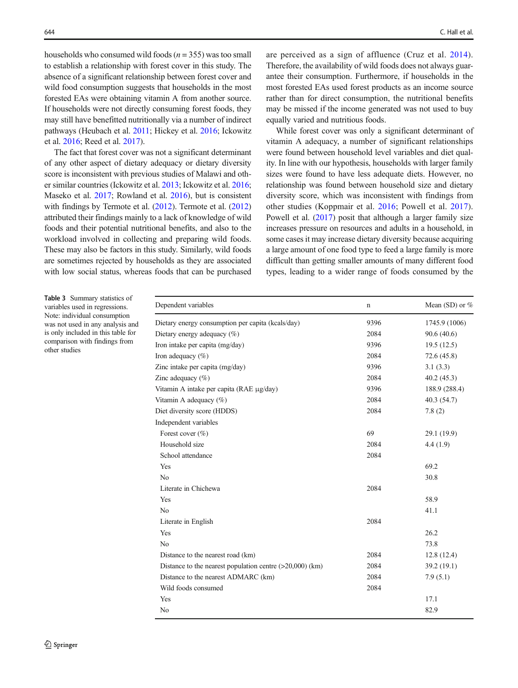<span id="page-9-0"></span>households who consumed wild foods ( $n = 355$ ) was too small to establish a relationship with forest cover in this study. The absence of a significant relationship between forest cover and wild food consumption suggests that households in the most forested EAs were obtaining vitamin A from another source. If households were not directly consuming forest foods, they may still have benefitted nutritionally via a number of indirect pathways (Heubach et al. [2011](#page-12-0); Hickey et al. [2016;](#page-12-0) Ickowitz et al. [2016](#page-13-0); Reed et al. [2017](#page-13-0)).

The fact that forest cover was not a significant determinant of any other aspect of dietary adequacy or dietary diversity score is inconsistent with previous studies of Malawi and other similar countries (Ickowitz et al. [2013;](#page-13-0) Ickowitz et al. [2016](#page-13-0); Maseko et al. [2017](#page-13-0); Rowland et al. [2016\)](#page-13-0), but is consistent with findings by Termote et al. [\(2012\)](#page-14-0). Termote et al. [\(2012\)](#page-14-0) attributed their findings mainly to a lack of knowledge of wild foods and their potential nutritional benefits, and also to the workload involved in collecting and preparing wild foods. These may also be factors in this study. Similarly, wild foods are sometimes rejected by households as they are associated with low social status, whereas foods that can be purchased

are perceived as a sign of affluence (Cruz et al. [2014](#page-12-0)). Therefore, the availability of wild foods does not always guarantee their consumption. Furthermore, if households in the most forested EAs used forest products as an income source rather than for direct consumption, the nutritional benefits may be missed if the income generated was not used to buy equally varied and nutritious foods.

While forest cover was only a significant determinant of vitamin A adequacy, a number of significant relationships were found between household level variables and diet quality. In line with our hypothesis, households with larger family sizes were found to have less adequate diets. However, no relationship was found between household size and dietary diversity score, which was inconsistent with findings from other studies (Koppmair et al. [2016](#page-13-0); Powell et al. [2017](#page-13-0)). Powell et al. [\(2017\)](#page-13-0) posit that although a larger family size increases pressure on resources and adults in a household, in some cases it may increase dietary diversity because acquiring a large amount of one food type to feed a large family is more difficult than getting smaller amounts of many different food types, leading to a wider range of foods consumed by the

Table 3 Summary statistics of variables used in regressions. Note: individual consumption was not used in any analysis and is only included in this table for comparison with findings from other studies

| Dependent variables                                        | n    | Mean (SD) or $%$ |
|------------------------------------------------------------|------|------------------|
| Dietary energy consumption per capita (kcals/day)          | 9396 | 1745.9 (1006)    |
| Dietary energy adequacy (%)                                | 2084 | 90.6(40.6)       |
| Iron intake per capita (mg/day)                            | 9396 | 19.5(12.5)       |
| Iron adequacy $(\% )$                                      | 2084 | 72.6(45.8)       |
| Zinc intake per capita (mg/day)                            | 9396 | 3.1(3.3)         |
| Zinc adequacy $(\% )$                                      | 2084 | 40.2(45.3)       |
| Vitamin A intake per capita (RAE µg/day)                   | 9396 | 188.9 (288.4)    |
| Vitamin A adequacy (%)                                     | 2084 | 40.3 (54.7)      |
| Diet diversity score (HDDS)                                | 2084 | 7.8(2)           |
| Independent variables                                      |      |                  |
| Forest cover $(\% )$                                       | 69   | 29.1 (19.9)      |
| Household size                                             | 2084 | 4.4(1.9)         |
| School attendance                                          | 2084 |                  |
| Yes                                                        |      | 69.2             |
| N <sub>0</sub>                                             |      | 30.8             |
| Literate in Chichewa                                       | 2084 |                  |
| Yes                                                        |      | 58.9             |
| N <sub>0</sub>                                             |      | 41.1             |
| Literate in English                                        | 2084 |                  |
| Yes                                                        |      | 26.2             |
| No                                                         |      | 73.8             |
| Distance to the nearest road (km)                          | 2084 | 12.8(12.4)       |
| Distance to the nearest population centre $(>20,000)$ (km) | 2084 | 39.2 (19.1)      |
| Distance to the nearest ADMARC (km)                        | 2084 | 7.9(5.1)         |
| Wild foods consumed                                        | 2084 |                  |
| Yes                                                        |      | 17.1             |
| No                                                         |      | 82.9             |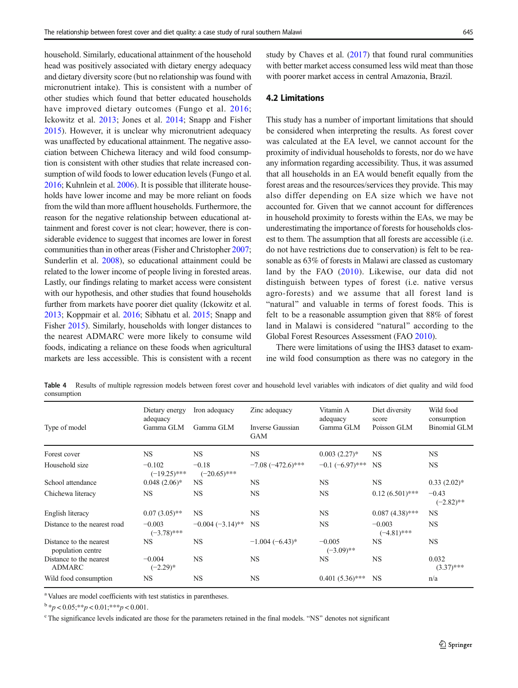<span id="page-10-0"></span>household. Similarly, educational attainment of the household head was positively associated with dietary energy adequacy and dietary diversity score (but no relationship was found with micronutrient intake). This is consistent with a number of other studies which found that better educated households have improved dietary outcomes (Fungo et al. [2016](#page-12-0); Ickowitz et al. [2013;](#page-13-0) Jones et al. [2014;](#page-13-0) Snapp and Fisher [2015\)](#page-14-0). However, it is unclear why micronutrient adequacy was unaffected by educational attainment. The negative association between Chichewa literacy and wild food consumption is consistent with other studies that relate increased consumption of wild foods to lower education levels (Fungo et al. [2016;](#page-12-0) Kuhnlein et al. [2006](#page-13-0)). It is possible that illiterate households have lower income and may be more reliant on foods from the wild than more affluent households. Furthermore, the reason for the negative relationship between educational attainment and forest cover is not clear; however, there is considerable evidence to suggest that incomes are lower in forest communities than in other areas (Fisher and Christopher [2007](#page-12-0); Sunderlin et al. [2008](#page-14-0)), so educational attainment could be related to the lower income of people living in forested areas. Lastly, our findings relating to market access were consistent with our hypothesis, and other studies that found households further from markets have poorer diet quality (Ickowitz et al. [2013;](#page-13-0) Koppmair et al. [2016](#page-13-0); Sibhatu et al. [2015;](#page-14-0) Snapp and Fisher [2015\)](#page-14-0). Similarly, households with longer distances to the nearest ADMARC were more likely to consume wild foods, indicating a reliance on these foods when agricultural markets are less accessible. This is consistent with a recent study by Chaves et al. [\(2017\)](#page-12-0) that found rural communities with better market access consumed less wild meat than those with poorer market access in central Amazonia, Brazil.

## 4.2 Limitations

This study has a number of important limitations that should be considered when interpreting the results. As forest cover was calculated at the EA level, we cannot account for the proximity of individual households to forests, nor do we have any information regarding accessibility. Thus, it was assumed that all households in an EA would benefit equally from the forest areas and the resources/services they provide. This may also differ depending on EA size which we have not accounted for. Given that we cannot account for differences in household proximity to forests within the EAs, we may be underestimating the importance of forests for households closest to them. The assumption that all forests are accessible (i.e. do not have restrictions due to conservation) is felt to be reasonable as 63% of forests in Malawi are classed as customary land by the FAO ([2010\)](#page-12-0). Likewise, our data did not distinguish between types of forest (i.e. native versus agro-forests) and we assume that all forest land is "natural" and valuable in terms of forest foods. This is felt to be a reasonable assumption given that 88% of forest land in Malawi is considered "natural" according to the Global Forest Resources Assessment (FAO [2010\)](#page-12-0).

There were limitations of using the IHS3 dataset to examine wild food consumption as there was no category in the

Table 4 Results of multiple regression models between forest cover and household level variables with indicators of diet quality and wild food consumption

|                                              | Dietary energy<br>adequacy | Iron adequacy             | Zinc adequacy                  | Vitamin A<br>adequacy    | Diet diversity<br>score   | Wild food<br>consumption |
|----------------------------------------------|----------------------------|---------------------------|--------------------------------|--------------------------|---------------------------|--------------------------|
| Type of model                                | Gamma GLM                  | Gamma GLM                 | Inverse Gaussian<br><b>GAM</b> | Gamma GLM                | Poisson GLM               | <b>Binomial GLM</b>      |
| Forest cover                                 | <b>NS</b>                  | <b>NS</b>                 | <b>NS</b>                      | $0.003(2.27)$ *          | <b>NS</b>                 | <b>NS</b>                |
| Household size                               | $-0.102$<br>$(-19.25)$ *** | $-0.18$<br>$(-20.65)$ *** | $-7.08(-472.6)$ ***            | $-0.1$ $(-6.97)$ ***     | <b>NS</b>                 | NS                       |
| School attendance                            | $0.048(2.06)*$             | <b>NS</b>                 | <b>NS</b>                      | <b>NS</b>                | <b>NS</b>                 | $0.33(2.02)*$            |
| Chichewa literacy                            | <b>NS</b>                  | <b>NS</b>                 | <b>NS</b>                      | <b>NS</b>                | $0.12(6.501)$ ***         | $-0.43$<br>$(-2.82)$ **  |
| English literacy                             | $0.07(3.05)$ **            | <b>NS</b>                 | <b>NS</b>                      | <b>NS</b>                | $0.087(4.38)$ ***         | <b>NS</b>                |
| Distance to the nearest road                 | $-0.003$<br>$(-3.78)$ ***  | $-0.004(-3.14)$ **        | <b>NS</b>                      | <b>NS</b>                | $-0.003$<br>$(-4.81)$ *** | <b>NS</b>                |
| Distance to the nearest<br>population centre | <b>NS</b>                  | <b>NS</b>                 | $-1.004(-6.43)$ *              | $-0.005$<br>$(-3.09)$ ** | <b>NS</b>                 | <b>NS</b>                |
| Distance to the nearest<br><b>ADMARC</b>     | $-0.004$<br>$(-2.29)$ *    | <b>NS</b>                 | <b>NS</b>                      | NS                       | <b>NS</b>                 | 0.032<br>$(3.37)$ ***    |
| Wild food consumption                        | NS                         | <b>NS</b>                 | <b>NS</b>                      | $0.401(5.36)$ ***        | <b>NS</b>                 | n/a                      |

<sup>a</sup> Values are model coefficients with test statistics in parentheses.

 $b * p < 0.05; **p < 0.01; **p < 0.001$ .

<sup>c</sup> The significance levels indicated are those for the parameters retained in the final models. "NS" denotes not significant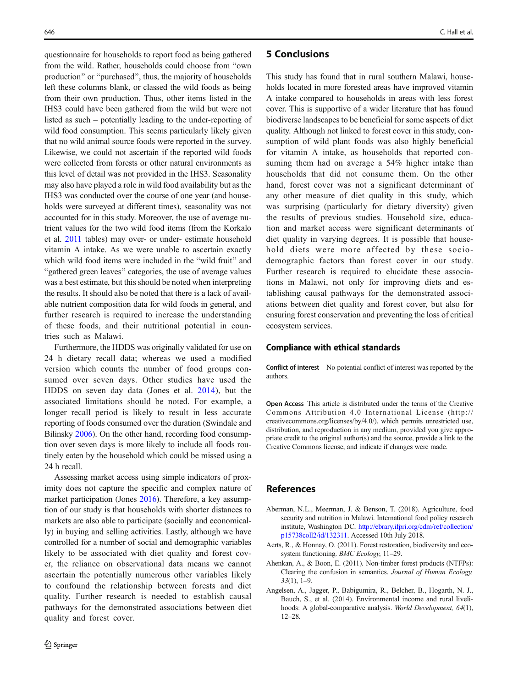<span id="page-11-0"></span>questionnaire for households to report food as being gathered from the wild. Rather, households could choose from "own production" or "purchased", thus, the majority of households left these columns blank, or classed the wild foods as being from their own production. Thus, other items listed in the IHS3 could have been gathered from the wild but were not listed as such – potentially leading to the under-reporting of wild food consumption. This seems particularly likely given that no wild animal source foods were reported in the survey. Likewise, we could not ascertain if the reported wild foods were collected from forests or other natural environments as this level of detail was not provided in the IHS3. Seasonality may also have played a role in wild food availability but as the IHS3 was conducted over the course of one year (and households were surveyed at different times), seasonality was not accounted for in this study. Moreover, the use of average nutrient values for the two wild food items (from the Korkalo et al. [2011](#page-13-0) tables) may over- or under- estimate household vitamin A intake. As we were unable to ascertain exactly which wild food items were included in the "wild fruit" and "gathered green leaves" categories, the use of average values was a best estimate, but this should be noted when interpreting the results. It should also be noted that there is a lack of available nutrient composition data for wild foods in general, and further research is required to increase the understanding of these foods, and their nutritional potential in countries such as Malawi.

Furthermore, the HDDS was originally validated for use on 24 h dietary recall data; whereas we used a modified version which counts the number of food groups consumed over seven days. Other studies have used the HDDS on seven day data (Jones et al. [2014\)](#page-13-0), but the associated limitations should be noted. For example, a longer recall period is likely to result in less accurate reporting of foods consumed over the duration (Swindale and Bilinsky [2006](#page-14-0)). On the other hand, recording food consumption over seven days is more likely to include all foods routinely eaten by the household which could be missed using a 24 h recall.

Assessing market access using simple indicators of proximity does not capture the specific and complex nature of market participation (Jones [2016\)](#page-13-0). Therefore, a key assumption of our study is that households with shorter distances to markets are also able to participate (socially and economically) in buying and selling activities. Lastly, although we have controlled for a number of social and demographic variables likely to be associated with diet quality and forest cover, the reliance on observational data means we cannot ascertain the potentially numerous other variables likely to confound the relationship between forests and diet quality. Further research is needed to establish causal pathways for the demonstrated associations between diet quality and forest cover.

## 5 Conclusions

This study has found that in rural southern Malawi, households located in more forested areas have improved vitamin A intake compared to households in areas with less forest cover. This is supportive of a wider literature that has found biodiverse landscapes to be beneficial for some aspects of diet quality. Although not linked to forest cover in this study, consumption of wild plant foods was also highly beneficial for vitamin A intake, as households that reported consuming them had on average a 54% higher intake than households that did not consume them. On the other hand, forest cover was not a significant determinant of any other measure of diet quality in this study, which was surprising (particularly for dietary diversity) given the results of previous studies. Household size, education and market access were significant determinants of diet quality in varying degrees. It is possible that household diets were more affected by these sociodemographic factors than forest cover in our study. Further research is required to elucidate these associations in Malawi, not only for improving diets and establishing causal pathways for the demonstrated associations between diet quality and forest cover, but also for ensuring forest conservation and preventing the loss of critical ecosystem services.

#### Compliance with ethical standards

Conflict of interest No potential conflict of interest was reported by the authors.

Open Access This article is distributed under the terms of the Creative Commons Attribution 4.0 International License (http:// creativecommons.org/licenses/by/4.0/), which permits unrestricted use, distribution, and reproduction in any medium, provided you give appropriate credit to the original author(s) and the source, provide a link to the Creative Commons license, and indicate if changes were made.

## References

- Aberman, N.L., Meerman, J. & Benson, T. (2018). Agriculture, food security and nutrition in Malawi. International food policy research institute, Washington DC. [http://ebrary.ifpri.org/cdm/ref/collection/](http://ebrary.ifpri.org/cdm/ref/collection/p15738coll2/id/132311) [p15738coll2/id/132311](http://ebrary.ifpri.org/cdm/ref/collection/p15738coll2/id/132311). Accessed 10th July 2018.
- Aerts, R., & Honnay, O. (2011). Forest restoration, biodiversity and ecosystem functioning. BMC Ecology, 11–29.
- Ahenkan, A., & Boon, E. (2011). Non-timber forest products (NTFPs): Clearing the confusion in semantics. Journal of Human Ecology, 33(1), 1–9.
- Angelsen, A., Jagger, P., Babigumira, R., Belcher, B., Hogarth, N. J., Bauch, S., et al. (2014). Environmental income and rural livelihoods: A global-comparative analysis. World Development, 64(1), 12–28.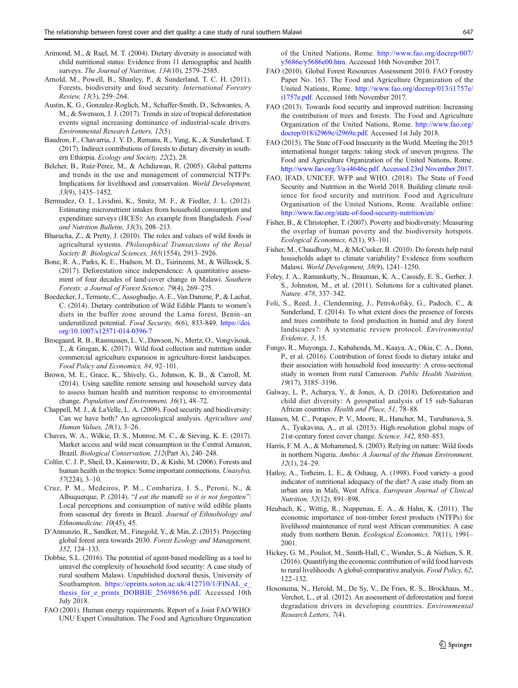- <span id="page-12-0"></span>Arimond, M., & Ruel, M. T. (2004). Dietary diversity is associated with child nutritional status: Evidence from 11 demographic and health surveys. The Journal of Nutrition, 134(10), 2579-2585.
- Arnold, M., Powell, B., Shanley, P., & Sunderland, T. C. H. (2011). Forests, biodiversity and food security. International Forestry Review, 13(3), 259–264.
- Austin, K. G., Gonzalez-Roglich, M., Schaffer-Smith, D., Schwantes, A. M., & Swenson, J. J. (2017). Trends in size of tropical deforestation events signal increasing dominance of industrial-scale drivers. Environmental Research Letters, 12(5).
- Baudron, F., Chavarria, J. Y. D., Remans, R., Yang, K., & Sunderland, T. (2017). Indirect contributions of forests to dietary diversity in southern Ethiopia. Ecology and Society, 22(2), 28.
- Belcher, B., Ruiz-Perez, M., & Achdiawan, R. (2005). Global patterns and trends in the use and management of commercial NTFPs: Implications for livelihood and conservation. World Development, 33(9), 1435–1452.
- Bermudez, O. I., Lividini, K., Smitz, M. F., & Fiedler, J. L. (2012). Estimating micronutrient intakes from household consumption and expenditure surveys (HCES): An example from Bangladesh. Food and Nutrition Bulletin, 33(3), 208–213.
- Bharucha, Z., & Pretty, J. (2010). The roles and values of wild foods in agricultural systems. Philosophical Transactions of the Royal Society B: Biological Sciences, 365(1554), 2913–2926.
- Bone, R. A., Parks, K. E., Hudson, M. D., Tsirinzeni, M., & Willcock, S. (2017). Deforestation since independence: A quantitative assessment of four decades of land-cover change in Malawi. Southern Forests: a Journal of Forest Science, 79(4), 269–275.
- Boedecker, J., Termote, C., Assogbadjo, A. E., Van Damme, P., & Lachat, C. (2014). Dietary contribution of Wild Edible Plants to women's diets in the buffer zone around the Lama forest, Benin–an underutilized potential. Food Security, 6(6), 833-849. [https://doi.](https://doi.org/10.1007/s12571-014-0396-7) [org/10.1007/s12571-014-0396-7](https://doi.org/10.1007/s12571-014-0396-7)
- Broegaard, R. B., Rasmussen, L. V., Dawson, N., Mertz, O., Vongvisouk, T., & Grogan, K. (2017). Wild food collection and nutrition under commercial agriculture expansion in agriculture-forest landscapes. Food Policy and Economics, 84, 92–101.
- Brown, M. E., Grace, K., Shively, G., Johnson, K. B., & Carroll, M. (2014). Using satellite remote sensing and household survey data to assess human health and nutrition response to environmental change. Population and Environment, 36(1), 48–72.
- Chappell, M. J., & LaVelle, L. A. (2009). Food security and biodiversity: Can we have both? An agroecological analysis. Agriculture and Human Values, 28(1), 3–26.
- Chaves, W. A., Wilkie, D. S., Monroe, M. C., & Sieving, K. E. (2017). Market access and wild meat consumption in the Central Amazon, Brazil. Biological Conservation, 212(Part A), 240–248.
- Colfer, C. J. P., Sheil, D., Kaimowitz, D., & Kishi, M. (2006). Forests and human health in the tropics: Some important connections. Unasylva, 57(224), 3–10.
- Cruz, P. M., Medeiros, P. M., Combariza, I. S., Peroni, N., & Albuquerque, P. (2014). "I eat the manofê so it is not forgotten": Local perceptions and consumption of native wild edible plants from seasonal dry forests in Brazil. Journal of Ethnobiology and Ethnomedicine, 10(45), 45.
- D'Annunzio, R., Sandker, M., Finegold, Y., & Min, Z. (2015). Projecting global forest area towards 2030. Forest Ecology and Management, 352, 124–133.
- Dobbie, S.L. (2016). The potential of agent-based modelling as a tool to unravel the complexity of household food security: A case study of rural southern Malawi. Unpublished doctoral thesis, University of Southampton. https://eprints.soton.ac.uk/412710/1/FINAL\_e [thesis\\_for\\_e\\_prints\\_DOBBIE\\_25698656.pdf.](https://eprints.soton.ac.uk/412710/1/FINAL_e_thesis_for_e_prints_DOBBIE_25698656.pdf) Accessed 10th July 2018.
- FAO (2001). Human energy requirements. Report of a Joint FAO/WHO/ UNU Expert Consultation. The Food and Agriculture Organization

of the United Nations, Rome. [http://www.fao.org/docrep/007/](http://www.fao.org/docrep/007/y5686e/y5686e00.htm) [y5686e/y5686e00.htm.](http://www.fao.org/docrep/007/y5686e/y5686e00.htm) Accessed 16th November 2017.

- FAO (2010). Global Forest Resources Assessment 2010. FAO Forestry Paper No. 163. The Food and Agriculture Organization of the United Nations, Rome. [http://www.fao.org/docrep/013/i1757e/](http://www.fao.org/docrep/013/i1757e/i1757e.pdf) [i1757e.pdf](http://www.fao.org/docrep/013/i1757e/i1757e.pdf). Accessed 16th November 2017.
- FAO (2013). Towards food security and improved nutrition: Increasing the contribution of trees and forests. The Food and Agriculture Organization of the United Nations, Rome. [http://www.fao.org/](http://www.fao.org/docrep/018/i2969e/i2969e.pdf) [docrep/018/i2969e/i2969e.pdf.](http://www.fao.org/docrep/018/i2969e/i2969e.pdf) Accessed 1st July 2018.
- FAO (2015). The State of Food Insecurity in the World. Meeting the 2015 international hunger targets: taking stock of uneven progress. The Food and Agriculture Organization of the United Nations, Rome. [http://www.fao.org/3/a-i4646e.pdf. Accessed 23rd November 2017](http://www.fao.org/3/a-i4646e.pdf.%20Accessed%2023rd%20November%202017).
- FAO, IFAD, UNICEF, WFP and WHO. (2018). The State of Food Security and Nutrition in the World 2018. Building climate resilience for food security and nutrition. Food and Agriculture Organisation of the United Nations, Rome. Available online: <http://www.fao.org/state-of-food-security-nutrition/en/>
- Fisher, B., & Christopher, T. (2007). Poverty and biodiversity: Measuring the overlap of human poverty and the biodiversity hotspots. Ecological Economics, 62(1), 93–101.
- Fisher, M., Chaudhury, M., & McCusker, B. (2010). Do forests help rural households adapt to climate variability? Evidence from southern Malawi. World Development, 38(9), 1241–1250.
- Foley, J. A., Ramankutty, N., Brauman, K. A., Cassidy, E. S., Gerber, J. S., Johnston, M., et al. (2011). Solutions for a cultivated planet. Nature, 478, 337–342.
- Foli, S., Reed, J., Clendenning, J., Petrokofsky, G., Padoch, C., & Sunderland, T. (2014). To what extent does the presence of forests and trees contribute to food production in humid and dry forest landscapes?: A systematic review protocol. Environmental Evidence, 3, 15.
- Fungo, R., Muyonga, J., Kabahenda, M., Kaaya, A., Okia, C. A., Donn, P., et al. (2016). Contribution of forest foods to dietary intake and their association with household food insecurity: A cross-sectional study in women from rural Cameroon. Public Health Nutrition, 19(17), 3185–3196.
- Galway, L. P., Acharya, Y., & Jones, A. D. (2018). Deforestation and child diet diversity: A geospatial analysis of 15 sub-Saharan African countries. Health and Place, 51, 78–88.
- Hansen, M. C., Potapov, P. V., Moore, R., Hancher, M., Turubanova, S. A., Tyukavina, A., et al. (2013). High-resolution global maps of 21st-century forest cover change. Science, 342, 850–853.
- Harris, F. M. A., & Mohammed, S. (2003). Relying on nature: Wild foods in northern Nigeria. Ambio: A Journal of the Human Environment, 32(1), 24–29.
- Hatloy, A., Torheim, L. E., & Oshaug, A. (1998). Food variety–a good indicator of nutritional adequacy of the diet? A case study from an urban area in Mali, West Africa. European Journal of Clinical Nutrition, 52(12), 891–898.
- Heubach, K., Wittig, R., Nuppenau, E. A., & Hahn, K. (2011). The economic importance of non-timber forest products (NTFPs) for livelihood maintenance of rural west African communities: A case study from northern Benin. Ecological Economics, 70(11), 1991-2001.
- Hickey, G. M., Pouliot, M., Smith-Hall, C., Wunder, S., & Nielsen, S. R. (2016). Quantifying the economic contribution of wild food harvests to rural livelihoods: A global-comparative analysis. Food Policy, 62, 122–132.
- Hosonuma, N., Herold, M., De Sy, V., De Fries, R. S., Brockhaus, M., Verchot, L., et al. (2012). An assessment of deforestation and forest degradation drivers in developing countries. Environmental Research Letters, 7(4).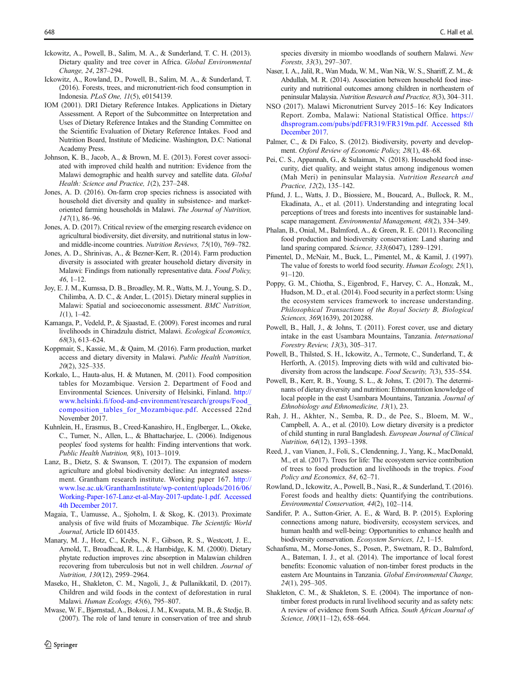- <span id="page-13-0"></span>Ickowitz, A., Powell, B., Salim, M. A., & Sunderland, T. C. H. (2013). Dietary quality and tree cover in Africa. Global Environmental Change, 24, 287–294.
- Ickowitz, A., Rowland, D., Powell, B., Salim, M. A., & Sunderland, T. (2016). Forests, trees, and micronutrient-rich food consumption in Indonesia. PLoS One, 11(5), e0154139.
- IOM (2001). DRI Dietary Reference Intakes. Applications in Dietary Assessment. A Report of the Subcommittee on Interpretation and Uses of Dietary Reference Intakes and the Standing Committee on the Scientific Evaluation of Dietary Reference Intakes. Food and Nutrition Board, Institute of Medicine. Washington, D.C: National Academy Press.
- Johnson, K. B., Jacob, A., & Brown, M. E. (2013). Forest cover associated with improved child health and nutrition: Evidence from the Malawi demographic and health survey and satellite data. Global Health: Science and Practice, 1(2), 237–248.
- Jones, A. D. (2016). On-farm crop species richness is associated with household diet diversity and quality in subsistence- and marketoriented farming households in Malawi. The Journal of Nutrition, 147(1), 86–96.
- Jones, A. D. (2017). Critical review of the emerging research evidence on agricultural biodiversity, diet diversity, and nutritional status in lowand middle-income countries. Nutrition Reviews, 75(10), 769–782.
- Jones, A. D., Shrinivas, A., & Bezner-Kerr, R. (2014). Farm production diversity is associated with greater household dietary diversity in Malawi: Findings from nationally representative data. Food Policy, 46, 1–12.
- Joy, E. J. M., Kumssa, D. B., Broadley, M. R., Watts, M. J., Young, S. D., Chilimba, A. D. C., & Ander, L. (2015). Dietary mineral supplies in Malawi: Spatial and socioeconomic assessment. BMC Nutrition,  $1(1), 1-42.$
- Kamanga, P., Vedeld, P., & Sjaastad, E. (2009). Forest incomes and rural livelihoods in Chiradzulu district, Malawi. Ecological Economics, 68(3), 613–624.
- Koppmair, S., Kassie, M., & Qaim, M. (2016). Farm production, market access and dietary diversity in Malawi. Public Health Nutrition, 20(2), 325–335.
- Korkalo, L., Hauta-alus, H. & Mutanen, M. (2011). Food composition tables for Mozambique. Version 2. Department of Food and Environmental Sciences. University of Helsinki, Finland. [http://](http://www.helsinki.fi/food-and-environment/research/groups/Food_composition_tables_for_Mozambique.pdf) [www.helsinki.fi/food-and-environment/research/groups/Food\\_](http://www.helsinki.fi/food-and-environment/research/groups/Food_composition_tables_for_Mozambique.pdf) [composition\\_tables\\_for\\_Mozambique.pdf.](http://www.helsinki.fi/food-and-environment/research/groups/Food_composition_tables_for_Mozambique.pdf) Accessed 22nd November 2017.
- Kuhnlein, H., Erasmus, B., Creed-Kanashiro, H., Englberger, L., Okeke, C., Turner, N., Allen, L., & Bhattacharjee, L. (2006). Indigenous peoples' food systems for health: Finding interventions that work. Public Health Nutrition, 9(8), 1013–1019.
- Lanz, B., Dietz, S. & Swanson, T. (2017). The expansion of modern agriculture and global biodiversity decline: An integrated assessment. Grantham research institute. Working paper 167. [http://](http://www.lse.ac.uk/GranthamInstitute/wp-content/uploads/2016/06/Working-Paper-167-Lanz-et-al-May-2017-update-1.pdf.%20Accessed%204th%20December%202017) [www.lse.ac.uk/GranthamInstitute/wp-content/uploads/2016/06/](http://www.lse.ac.uk/GranthamInstitute/wp-content/uploads/2016/06/Working-Paper-167-Lanz-et-al-May-2017-update-1.pdf.%20Accessed%204th%20December%202017) [Working-Paper-167-Lanz-et-al-May-2017-update-1.pdf. Accessed](http://www.lse.ac.uk/GranthamInstitute/wp-content/uploads/2016/06/Working-Paper-167-Lanz-et-al-May-2017-update-1.pdf.%20Accessed%204th%20December%202017) [4th December 2017](http://www.lse.ac.uk/GranthamInstitute/wp-content/uploads/2016/06/Working-Paper-167-Lanz-et-al-May-2017-update-1.pdf.%20Accessed%204th%20December%202017).
- Magaia, T., Uamusse, A., Sjoholm, I. & Skog, K. (2013). Proximate analysis of five wild fruits of Mozambique. The Scientific World Journal, Article ID 601435.
- Manary, M. J., Hotz, C., Krebs, N. F., Gibson, R. S., Westcott, J. E., Arnold, T., Broadhead, R. L., & Hambidge, K. M. (2000). Dietary phytate reduction improves zinc absorption in Malawian children recovering from tuberculosis but not in well children. Journal of Nutrition, 130(12), 2959–2964.
- Maseko, H., Shakleton, C. M., Nagoli, J., & Pullanikkatil, D. (2017). Children and wild foods in the context of deforestation in rural Malawi. Human Ecology, 45(6), 795–807.
- Mwase, W. F., Bjørnstad, A., Bokosi, J. M., Kwapata, M. B., & Stedje, B. (2007). The role of land tenure in conservation of tree and shrub

species diversity in miombo woodlands of southern Malawi. New Forests, 33(3), 297–307.

- Naser, I. A., Jalil, R., Wan Muda, W. M., Wan Nik, W. S., Shariff, Z. M., & Abdullah, M. R. (2014). Association between household food insecurity and nutritional outcomes among children in northeastern of peninsular Malaysia. Nutrition Research and Practice, 8(3), 304–311.
- NSO (2017). Malawi Micronutrient Survey 2015–16: Key Indicators Report. Zomba, Malawi: National Statistical Office. [https://](https://dhsprogram.com/pubs/pdf/FR319/FR319m.pdf.%20Accessed%208th%20December%202017) [dhsprogram.com/pubs/pdf/FR319/FR319m.pdf. Accessed 8th](https://dhsprogram.com/pubs/pdf/FR319/FR319m.pdf.%20Accessed%208th%20December%202017) [December 2017.](https://dhsprogram.com/pubs/pdf/FR319/FR319m.pdf.%20Accessed%208th%20December%202017)
- Palmer, C., & Di Falco, S. (2012). Biodiversity, poverty and development. Oxford Review of Economic Policy, 28(1), 48–68.
- Pei, C. S., Appannah, G., & Sulaiman, N. (2018). Household food insecurity, diet quality, and weight status among indigenous women (Mah Meri) in peninsular Malaysia. Nutrition Research and Practice, 12(2), 135–142.
- Pfund, J. L., Watts, J. D., Biossiere, M., Boucard, A., Bullock, R. M., Ekadinata, A., et al. (2011). Understanding and integrating local perceptions of trees and forests into incentives for sustainable landscape management. Environmental Management, 48(2), 334–349.
- Phalan, B., Onial, M., Balmford, A., & Green, R. E. (2011). Reconciling food production and biodiversity conservation: Land sharing and land sparing compared. Science, 333(6047), 1289–1291.
- Pimentel, D., McNair, M., Buck, L., Pimentel, M., & Kamil, J. (1997). The value of forests to world food security. Human Ecology, 25(1), 91–120.
- Poppy, G. M., Chiotha, S., Eigenbrod, F., Harvey, C. A., Honzak, M., Hudson, M. D., et al. (2014). Food security in a perfect storm: Using the ecosystem services framework to increase understanding. Philosophical Transactions of the Royal Society B, Biological Sciences, 369(1639), 20120288.
- Powell, B., Hall, J., & Johns, T. (2011). Forest cover, use and dietary intake in the east Usambara Mountains, Tanzania. International Forestry Review, 13(3), 305–317.
- Powell, B., Thilsted, S. H., Ickowitz, A., Termote, C., Sunderland, T., & Herforth, A. (2015). Improving diets with wild and cultivated biodiversity from across the landscape. Food Security, 7(3), 535–554.
- Powell, B., Kerr, R. B., Young, S. L., & Johns, T. (2017). The determinants of dietary diversity and nutrition: Ethnonutrition knowledge of local people in the east Usambara Mountains, Tanzania. Journal of Ethnobiology and Ethnomedicine, 13(1), 23.
- Rah, J. H., Akhter, N., Semba, R. D., de Pee, S., Bloem, M. W., Campbell, A. A., et al. (2010). Low dietary diversity is a predictor of child stunting in rural Bangladesh. European Journal of Clinical Nutrition, 64(12), 1393–1398.
- Reed, J., van Vianen, J., Foli, S., Clendenning, J., Yang, K., MacDonald, M., et al. (2017). Trees for life: The ecosystem service contribution of trees to food production and livelihoods in the tropics. Food Policy and Economics, 84, 62–71.
- Rowland, D., Ickowitz, A., Powell, B., Nasi, R., & Sunderland, T. (2016). Forest foods and healthy diets: Quantifying the contributions. Environmental Conservation, 44(2), 102–114.
- Sandifer, P. A., Sutton-Grier, A. E., & Ward, B. P. (2015). Exploring connections among nature, biodiversity, ecosystem services, and human health and well-being: Opportunities to enhance health and biodiversity conservation. Ecosystem Services, 12, 1–15.
- Schaafsma, M., Morse-Jones, S., Posen, P., Swetnam, R. D., Balmford, A., Bateman, I. J., et al. (2014). The importance of local forest benefits: Economic valuation of non-timber forest products in the eastern Arc Mountains in Tanzania. Global Environmental Change, 24(1), 295–305.
- Shakleton, C. M., & Shakleton, S. E. (2004). The importance of nontimber forest products in rural livelihood security and as safety nets: A review of evidence from South Africa. South African Journal of Science, 100(11-12), 658-664.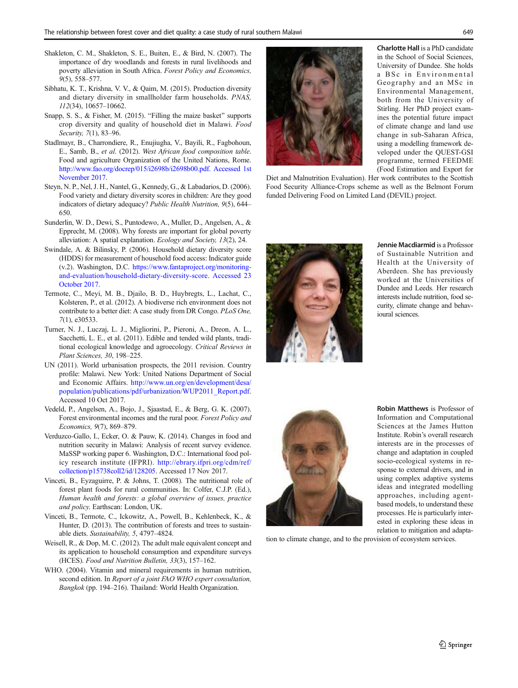- <span id="page-14-0"></span>Shakleton, C. M., Shakleton, S. E., Buiten, E., & Bird, N. (2007). The importance of dry woodlands and forests in rural livelihoods and poverty alleviation in South Africa. Forest Policy and Economics, 9(5), 558–577.
- Sibhatu, K. T., Krishna, V. V., & Qaim, M. (2015). Production diversity and dietary diversity in smallholder farm households. PNAS, 112(34), 10657–10662.
- Snapp, S. S., & Fisher, M. (2015). "Filling the maize basket" supports crop diversity and quality of household diet in Malawi. Food Security, 7(1), 83–96.
- Stadlmayr, B., Charrondiere, R., Enujiugha, V., Bayili, R., Fagbohoun, E., Samb, B., et al. (2012). West African food composition table. Food and agriculture Organization of the United Nations, Rome. [http://www.fao.org/docrep/015/i2698b/i2698b00.pdf. Accessed 1st](http://www.fao.org/docrep/015/i2698b/i2698b00.pdf.%20Accessed%201st%20November%202017) [November 2017](http://www.fao.org/docrep/015/i2698b/i2698b00.pdf.%20Accessed%201st%20November%202017).
- Steyn, N. P., Nel, J. H., Nantel, G., Kennedy, G., & Labadarios, D. (2006). Food variety and dietary diversity scores in children: Are they good indicators of dietary adequacy? Public Health Nutrition, 9(5), 644– 650.
- Sunderlin, W. D., Dewi, S., Puntodewo, A., Muller, D., Angelsen, A., & Epprecht, M. (2008). Why forests are important for global poverty alleviation: A spatial explanation. Ecology and Society, 13(2), 24.
- Swindale, A. & Bilinsky, P. (2006). Household dietary diversity score (HDDS) for measurement of household food access: Indicator guide (v.2). Washington, D.C. [https://www.fantaproject.org/monitoring](https://www.fantaproject.org/monitoring-and-evaluation/household-dietary-diversity-score)[and-evaluation/household-dietary-diversity-score.](https://www.fantaproject.org/monitoring-and-evaluation/household-dietary-diversity-score) [Accessed 23](https://www.fantaproject.org/sites/default/files/resources/HDDS_v2_Sep06_0.pdf.%20Accessed%2022%20February%202018) [October 2017](https://www.fantaproject.org/sites/default/files/resources/HDDS_v2_Sep06_0.pdf.%20Accessed%2022%20February%202018).
- Termote, C., Meyi, M. B., Djailo, B. D., Huybregts, L., Lachat, C., Kolsteren, P., et al. (2012). A biodiverse rich environment does not contribute to a better diet: A case study from DR Congo. PLoS One, 7(1), e30533.
- Turner, N. J., Luczaj, L. J., Migliorini, P., Pieroni, A., Dreon, A. L., Sacchetti, L. E., et al. (2011). Edible and tended wild plants, traditional ecological knowledge and agroecology. Critical Reviews in Plant Sciences, 30, 198–225.
- UN (2011). World urbanisation prospects, the 2011 revision. Country profile: Malawi. New York: United Nations Department of Social and Economic Affairs. [http://www.un.org/en/development/desa/](http://www.un.org/en/development/desa/population/publications/pdf/urbanization/WUP2011_Report.pdf) [population/publications/pdf/urbanization/WUP2011\\_Report.pdf](http://www.un.org/en/development/desa/population/publications/pdf/urbanization/WUP2011_Report.pdf). Accessed 10 Oct 2017.
- Vedeld, P., Angelsen, A., Bojo, J., Sjaastad, E., & Berg, G. K. (2007). Forest environmental incomes and the rural poor. Forest Policy and Economics, 9(7), 869–879.
- Verduzco-Gallo, I., Ecker, O. & Pauw, K. (2014). Changes in food and nutrition security in Malawi: Analysis of recent survey evidence. MaSSP working paper 6. Washington, D.C.: International food policy research institute (IFPRI). [http://ebrary.ifpri.org/cdm/ref/](http://ebrary.ifpri.org/cdm/ref/collection/p15738coll2/id/128205) [collection/p15738coll2/id/128205.](http://ebrary.ifpri.org/cdm/ref/collection/p15738coll2/id/128205) Accessed 17 Nov 2017.
- Vinceti, B., Eyzaguirre, P. & Johns, T. (2008). The nutritional role of forest plant foods for rural communities. In: Colfer, C.J.P. (Ed.), Human health and forests: a global overview of issues, practice and policy. Earthscan: London, UK.
- Vinceti, B., Termote, C., Ickowitz, A., Powell, B., Kehlenbeck, K., & Hunter, D. (2013). The contribution of forests and trees to sustainable diets. Sustainability, 5, 4797–4824.
- Weisell, R., & Dop, M. C. (2012). The adult male equivalent concept and its application to household consumption and expenditure surveys (HCES). Food and Nutrition Bulletin, 33(3), 157–162.
- WHO. (2004). Vitamin and mineral requirements in human nutrition, second edition. In Report of a joint FAO WHO expert consultation, Bangkok (pp. 194–216). Thailand: World Health Organization.



Charlotte Hall is a PhD candidate in the School of Social Sciences, University of Dundee. She holds a BSc in Environmental Geography and an MSc in Environmental Management, both from the University of Stirling. Her PhD project examines the potential future impact of climate change and land use change in sub-Saharan Africa, using a modelling framework developed under the QUEST-GSI programme, termed FEEDME (Food Estimation and Export for

Diet and Malnutrition Evaluation). Her work contributes to the Scottish Food Security Alliance-Crops scheme as well as the Belmont Forum funded Delivering Food on Limited Land (DEVIL) project.



Jennie Macdiarmid is a Professor of Sustainable Nutrition and Health at the University of Aberdeen. She has previously worked at the Universities of Dundee and Leeds. Her research interests include nutrition, food security, climate change and behavioural sciences.



Robin Matthews is Professor of Information and Computational Sciences at the James Hutton Institute. Robin's overall research interests are in the processes of change and adaptation in coupled socio-ecological systems in response to external drivers, and in using complex adaptive systems ideas and integrated modelling approaches, including agentbased models, to understand these processes. He is particularly interested in exploring these ideas in relation to mitigation and adapta-

tion to climate change, and to the provision of ecosystem services.